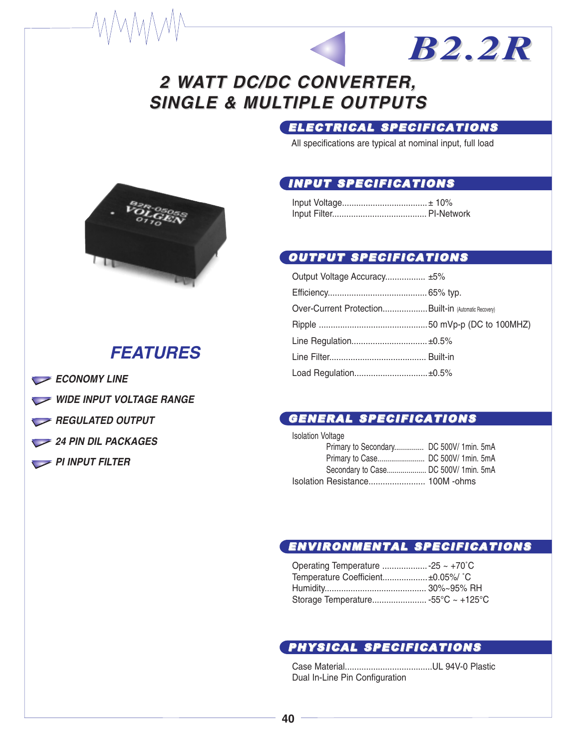## 2 WATT DC/DC CONVERTER, **SINGLE & MULTIPLE OUTPUTS**

### ELECTRICAL SPECIFICATIONS

*B2.2R*

All specifications are typical at nominal input, full load

#### INPUT SPECIFICATIONS

#### OUTPUT SPECIFICATIONS

| Output Voltage Accuracy ±5%                          |  |
|------------------------------------------------------|--|
|                                                      |  |
| Over-Current ProtectionBuilt-in (Automatic Recovery) |  |
|                                                      |  |
|                                                      |  |
|                                                      |  |
| Load Regulation±0.5%                                 |  |

#### GENERAL SPECIFICATIONS

| <b>Isolation Voltage</b>               |  |
|----------------------------------------|--|
| Primary to Secondary DC 500V/1min. 5mA |  |
|                                        |  |
| Secondary to Case DC 500V/ 1min. 5mA   |  |
|                                        |  |

#### ENVIRONMENTAL SPECIFICATIONS

| Temperature Coefficient±0.05%/ °C |  |
|-----------------------------------|--|
|                                   |  |
|                                   |  |

#### PHYSICAL SPECIFICATIONS

Case Material.....................................UL 94V-0 Plastic Dual In-Line Pin Configuration



## *FEATURES*

- *ECONOMY LINE*
- *WIDE INPUT VOLTAGE RANGE*
- *REGULATED OUTPUT*
- *24 PIN DIL PACKAGES*
- **PI INPUT FILTER**